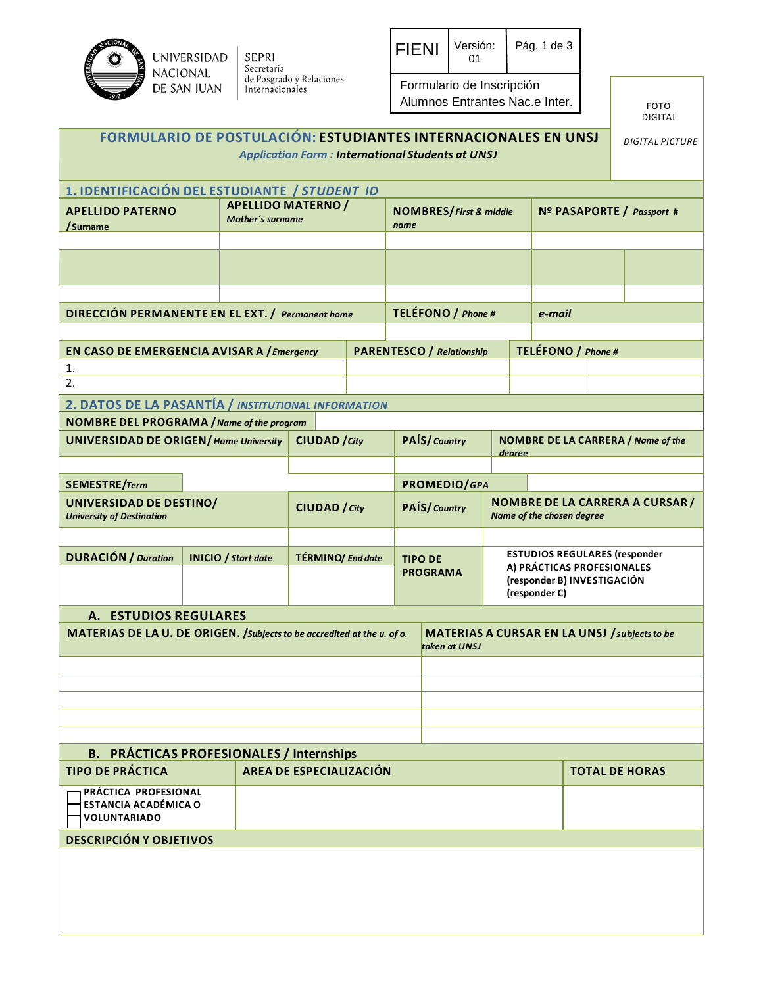

| <b>FIENI</b> | Versión:<br>ሰ1            | Pág. 1 de $3$ |  |  |  |  |  |  |
|--------------|---------------------------|---------------|--|--|--|--|--|--|
|              | Formulario de Inscripción |               |  |  |  |  |  |  |

Alumnos Entrantes Nac.e Inter.

FOTO DIGITAL

| FORMULARIO DE POSTULACIÓN: ESTUDIANTES INTERNACIONALES EN UNSJ          |  |                            |                                                      |  |                                   | <b>Application Form: International Students at UNSJ</b>        |                                                                                                   |                    |                                           | <b>DIGITAL PICTURE</b> |  |  |
|-------------------------------------------------------------------------|--|----------------------------|------------------------------------------------------|--|-----------------------------------|----------------------------------------------------------------|---------------------------------------------------------------------------------------------------|--------------------|-------------------------------------------|------------------------|--|--|
| 1. IDENTIFICACIÓN DEL ESTUDIANTE / STUDENT ID                           |  |                            |                                                      |  |                                   |                                                                |                                                                                                   |                    |                                           |                        |  |  |
| <b>APELLIDO PATERNO</b><br>/Surname                                     |  |                            | <b>APELLIDO MATERNO /</b><br><b>Mother's surname</b> |  |                                   | <b>NOMBRES/First &amp; middle</b>                              |                                                                                                   |                    | Nº PASAPORTE / Passport #                 |                        |  |  |
|                                                                         |  |                            |                                                      |  |                                   |                                                                |                                                                                                   |                    |                                           |                        |  |  |
|                                                                         |  |                            |                                                      |  |                                   |                                                                |                                                                                                   |                    |                                           |                        |  |  |
|                                                                         |  |                            |                                                      |  |                                   |                                                                |                                                                                                   |                    |                                           |                        |  |  |
| DIRECCIÓN PERMANENTE EN EL EXT. / Permanent home                        |  |                            |                                                      |  | TELÉFONO / Phone #<br>e-mail      |                                                                |                                                                                                   |                    |                                           |                        |  |  |
|                                                                         |  |                            |                                                      |  |                                   |                                                                |                                                                                                   |                    |                                           |                        |  |  |
| EN CASO DE EMERGENCIA AVISAR A / Emergency                              |  |                            |                                                      |  |                                   | <b>PARENTESCO</b> / Relationship                               |                                                                                                   | TELÉFONO / Phone # |                                           |                        |  |  |
| 1.                                                                      |  |                            |                                                      |  |                                   |                                                                |                                                                                                   |                    |                                           |                        |  |  |
| 2.                                                                      |  |                            |                                                      |  |                                   |                                                                |                                                                                                   |                    |                                           |                        |  |  |
| 2. DATOS DE LA PASANTÍA / INSTITUTIONAL INFORMATION                     |  |                            |                                                      |  |                                   |                                                                |                                                                                                   |                    |                                           |                        |  |  |
| <b>NOMBRE DEL PROGRAMA / Name of the program</b>                        |  |                            |                                                      |  |                                   |                                                                |                                                                                                   |                    |                                           |                        |  |  |
| <b>UNIVERSIDAD DE ORIGEN/ Home University</b>                           |  |                            | <b>CIUDAD</b> / City                                 |  |                                   | PAÍS/Country                                                   | dearee                                                                                            |                    | <b>NOMBRE DE LA CARRERA / Name of the</b> |                        |  |  |
|                                                                         |  |                            |                                                      |  |                                   |                                                                |                                                                                                   |                    |                                           |                        |  |  |
| SEMESTRE/Term                                                           |  |                            |                                                      |  | PROMEDIO/GPA                      |                                                                |                                                                                                   |                    |                                           |                        |  |  |
| UNIVERSIDAD DE DESTINO/<br><b>University of Destination</b>             |  |                            | <b>CIUDAD</b> / City                                 |  | PAÍS/Country                      |                                                                | <b>NOMBRE DE LA CARRERA A CURSAR /</b><br>Name of the chosen degree                               |                    |                                           |                        |  |  |
|                                                                         |  |                            |                                                      |  |                                   |                                                                |                                                                                                   |                    |                                           |                        |  |  |
| <b>DURACIÓN / Duration</b>                                              |  | <b>INICIO</b> / Start date | <b>TÉRMINO/</b> End date                             |  | <b>TIPO DE</b><br><b>PROGRAMA</b> |                                                                | <b>ESTUDIOS REGULARES (responder</b><br>A) PRÁCTICAS PROFESIONALES<br>(responder B) INVESTIGACIÓN |                    |                                           |                        |  |  |
|                                                                         |  |                            |                                                      |  |                                   | (responder C)                                                  |                                                                                                   |                    |                                           |                        |  |  |
| A. ESTUDIOS REGULARES                                                   |  |                            |                                                      |  |                                   |                                                                |                                                                                                   |                    |                                           |                        |  |  |
| MATERIAS DE LA U. DE ORIGEN. /Subjects to be accredited at the u. of o. |  |                            |                                                      |  |                                   | MATERIAS A CURSAR EN LA UNSJ / subjects to be<br>taken at UNSJ |                                                                                                   |                    |                                           |                        |  |  |
|                                                                         |  |                            |                                                      |  |                                   |                                                                |                                                                                                   |                    |                                           |                        |  |  |
|                                                                         |  |                            |                                                      |  |                                   |                                                                |                                                                                                   |                    |                                           |                        |  |  |
|                                                                         |  |                            |                                                      |  |                                   |                                                                |                                                                                                   |                    |                                           |                        |  |  |
|                                                                         |  |                            |                                                      |  |                                   |                                                                |                                                                                                   |                    |                                           |                        |  |  |
|                                                                         |  |                            |                                                      |  |                                   |                                                                |                                                                                                   |                    |                                           |                        |  |  |
| <b>B. PRÁCTICAS PROFESIONALES / Internships</b>                         |  |                            |                                                      |  |                                   |                                                                |                                                                                                   |                    |                                           |                        |  |  |
| <b>TIPO DE PRÁCTICA</b>                                                 |  |                            | AREA DE ESPECIALIZACIÓN                              |  |                                   |                                                                |                                                                                                   |                    |                                           | <b>TOTAL DE HORAS</b>  |  |  |
| PRÁCTICA PROFESIONAL<br>ESTANCIA ACADÉMICA O<br><b>VOLUNTARIADO</b>     |  |                            |                                                      |  |                                   |                                                                |                                                                                                   |                    |                                           |                        |  |  |
| <b>DESCRIPCIÓN Y OBJETIVOS</b>                                          |  |                            |                                                      |  |                                   |                                                                |                                                                                                   |                    |                                           |                        |  |  |
|                                                                         |  |                            |                                                      |  |                                   |                                                                |                                                                                                   |                    |                                           |                        |  |  |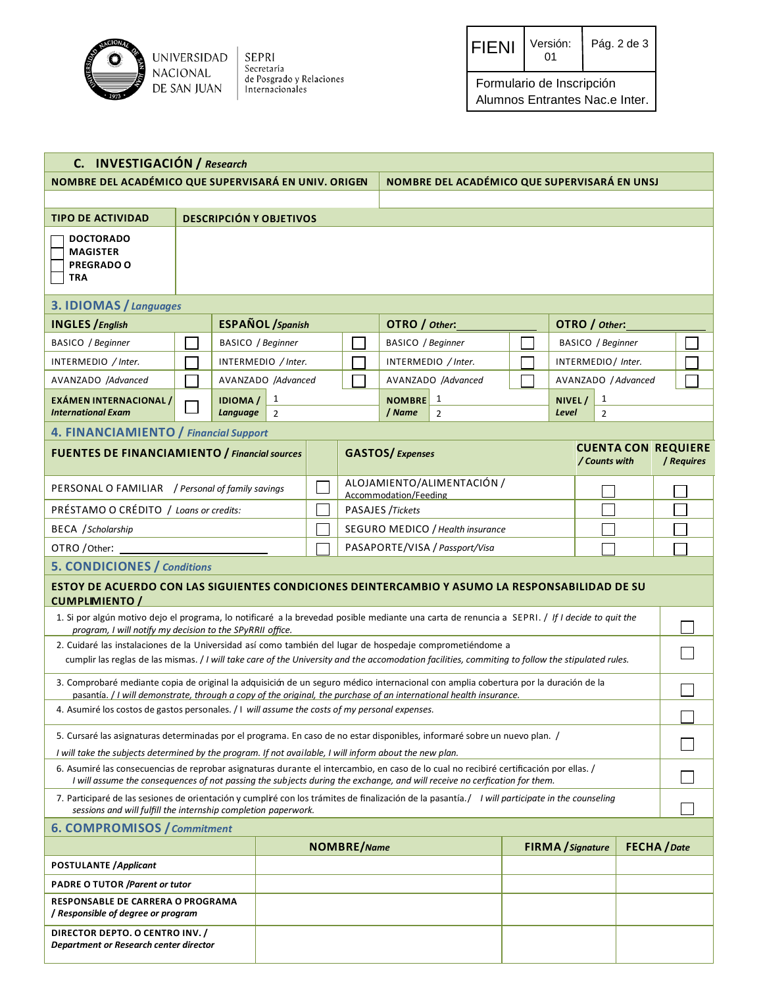

SEPRI<br>Secretaría<br>de Posgrado y Relaciones<br>Internacionales

| <b>FIENI</b> | Versión:<br>ሰ1 | Pág. 2 de 3 |
|--------------|----------------|-------------|
|--------------|----------------|-------------|

Formulario de Inscripción Alumnos Entrantes Nac.e Inter.

| C. INVESTIGACIÓN / Research                                                                                                                                                                                                                                |                                                                                                                                                                                                                                                                               |                                                                                                                                                |                |  |                                              |                                |                                  |  |                          |                   |  |                                          |  |
|------------------------------------------------------------------------------------------------------------------------------------------------------------------------------------------------------------------------------------------------------------|-------------------------------------------------------------------------------------------------------------------------------------------------------------------------------------------------------------------------------------------------------------------------------|------------------------------------------------------------------------------------------------------------------------------------------------|----------------|--|----------------------------------------------|--------------------------------|----------------------------------|--|--------------------------|-------------------|--|------------------------------------------|--|
|                                                                                                                                                                                                                                                            | NOMBRE DEL ACADÉMICO QUE SUPERVISARÁ EN UNIV. ORIGEN                                                                                                                                                                                                                          |                                                                                                                                                |                |  | NOMBRE DEL ACADÉMICO QUE SUPERVISARÁ EN UNSJ |                                |                                  |  |                          |                   |  |                                          |  |
|                                                                                                                                                                                                                                                            |                                                                                                                                                                                                                                                                               |                                                                                                                                                |                |  |                                              |                                |                                  |  |                          |                   |  |                                          |  |
| <b>TIPO DE ACTIVIDAD</b>                                                                                                                                                                                                                                   |                                                                                                                                                                                                                                                                               | <b>DESCRIPCIÓN Y OBJETIVOS</b>                                                                                                                 |                |  |                                              |                                |                                  |  |                          |                   |  |                                          |  |
| DOCTORADO<br><b>MAGISTER</b><br><b>PREGRADO O</b><br>TRA                                                                                                                                                                                                   |                                                                                                                                                                                                                                                                               |                                                                                                                                                |                |  |                                              |                                |                                  |  |                          |                   |  |                                          |  |
| 3. IDIOMAS / Languages                                                                                                                                                                                                                                     |                                                                                                                                                                                                                                                                               |                                                                                                                                                |                |  |                                              |                                |                                  |  |                          |                   |  |                                          |  |
| <b>INGLES</b> / English                                                                                                                                                                                                                                    |                                                                                                                                                                                                                                                                               | <b>ESPAÑOL</b> / Spanish                                                                                                                       |                |  |                                              | OTRO / Other:                  |                                  |  | OTRO / Other:            |                   |  |                                          |  |
| BASICO / Beginner                                                                                                                                                                                                                                          |                                                                                                                                                                                                                                                                               | BASICO / Beginner                                                                                                                              |                |  |                                              | BASICO / Beginner              |                                  |  |                          | BASICO / Beginner |  |                                          |  |
| INTERMEDIO / Inter.                                                                                                                                                                                                                                        |                                                                                                                                                                                                                                                                               | INTERMEDIO / Inter.                                                                                                                            |                |  |                                              |                                | INTERMEDIO / Inter.              |  | INTERMEDIO / Inter.      |                   |  |                                          |  |
| AVANZADO /Advanced                                                                                                                                                                                                                                         |                                                                                                                                                                                                                                                                               | AVANZADO /Advanced                                                                                                                             |                |  |                                              |                                | AVANZADO /Advanced               |  | AVANZADO / Advanced      |                   |  |                                          |  |
| <b>EXÁMEN INTERNACIONAL /</b>                                                                                                                                                                                                                              |                                                                                                                                                                                                                                                                               | <b>IDIOMA/</b>                                                                                                                                 | 1              |  |                                              | <b>NOMBRE</b>                  | 1                                |  | NIVEL/                   | 1                 |  |                                          |  |
| <b>International Exam</b>                                                                                                                                                                                                                                  |                                                                                                                                                                                                                                                                               | <b>Language</b>                                                                                                                                | $\overline{2}$ |  |                                              | / Name                         | $\overline{2}$                   |  | Level                    | $\overline{2}$    |  |                                          |  |
| 4. FINANCIAMIENTO / Financial Support                                                                                                                                                                                                                      |                                                                                                                                                                                                                                                                               |                                                                                                                                                |                |  |                                              |                                |                                  |  |                          |                   |  |                                          |  |
| <b>FUENTES DE FINANCIAMIENTO / Financial sources</b>                                                                                                                                                                                                       |                                                                                                                                                                                                                                                                               |                                                                                                                                                |                |  |                                              | <b>GASTOS/Expenses</b>         |                                  |  |                          | / Counts with     |  | <b>CUENTA CON REQUIERE</b><br>/ Requires |  |
| PERSONAL O FAMILIAR / Personal of family savings                                                                                                                                                                                                           | ALOJAMIENTO/ALIMENTACIÓN /<br>Accommodation/Feeding                                                                                                                                                                                                                           |                                                                                                                                                |                |  |                                              |                                |                                  |  |                          |                   |  |                                          |  |
| PRÉSTAMO O CRÉDITO / Loans or credits:                                                                                                                                                                                                                     |                                                                                                                                                                                                                                                                               |                                                                                                                                                |                |  |                                              | PASAJES /Tickets               |                                  |  |                          |                   |  |                                          |  |
| <b>BECA</b> / Scholarship                                                                                                                                                                                                                                  |                                                                                                                                                                                                                                                                               |                                                                                                                                                |                |  |                                              |                                | SEGURO MEDICO / Health insurance |  |                          |                   |  |                                          |  |
| OTRO / Other:                                                                                                                                                                                                                                              |                                                                                                                                                                                                                                                                               |                                                                                                                                                |                |  |                                              | PASAPORTE/VISA / Passport/Visa |                                  |  |                          |                   |  |                                          |  |
| <b>5. CONDICIONES / Conditions</b>                                                                                                                                                                                                                         |                                                                                                                                                                                                                                                                               |                                                                                                                                                |                |  |                                              |                                |                                  |  |                          |                   |  |                                          |  |
| ESTOY DE ACUERDO CON LAS SIGUIENTES CONDICIONES DEINTERCAMBIO Y ASUMO LA RESPONSABILIDAD DE SU<br><b>CUMPLIMIENTO /</b>                                                                                                                                    |                                                                                                                                                                                                                                                                               |                                                                                                                                                |                |  |                                              |                                |                                  |  |                          |                   |  |                                          |  |
|                                                                                                                                                                                                                                                            |                                                                                                                                                                                                                                                                               | 1. Si por algún motivo dejo el programa, lo notificaré a la brevedad posible mediante una carta de renuncia a SEPRI. / If I decide to quit the |                |  |                                              |                                |                                  |  |                          |                   |  |                                          |  |
| program, I will notify my decision to the SPyRRII office.                                                                                                                                                                                                  |                                                                                                                                                                                                                                                                               |                                                                                                                                                |                |  |                                              |                                |                                  |  |                          |                   |  |                                          |  |
|                                                                                                                                                                                                                                                            | 2. Cuidaré las instalaciones de la Universidad así como también del lugar de hospedaje comprometiéndome a<br>cumplir las reglas de las mismas. / I will take care of the University and the accomodation facilities, commiting to follow the stipulated rules.                |                                                                                                                                                |                |  |                                              |                                |                                  |  |                          |                   |  |                                          |  |
| 3. Comprobaré mediante copia de original la adquisición de un seguro médico internacional con amplia cobertura por la duración de la<br>pasantía. / I will demonstrate, through a copy of the original, the purchase of an international health insurance. |                                                                                                                                                                                                                                                                               |                                                                                                                                                |                |  |                                              |                                |                                  |  |                          |                   |  |                                          |  |
| 4. Asumiré los costos de gastos personales. / I will assume the costs of my personal expenses.                                                                                                                                                             |                                                                                                                                                                                                                                                                               |                                                                                                                                                |                |  |                                              |                                |                                  |  |                          |                   |  |                                          |  |
|                                                                                                                                                                                                                                                            | 5. Cursaré las asignaturas determinadas por el programa. En caso de no estar disponibles, informaré sobre un nuevo plan. /                                                                                                                                                    |                                                                                                                                                |                |  |                                              |                                |                                  |  |                          |                   |  |                                          |  |
|                                                                                                                                                                                                                                                            | I will take the subjects determined by the program. If not available, I will inform about the new plan.<br>6. Asumiré las consecuencias de reprobar asignaturas durante el intercambio, en caso de lo cual no recibiré certificación por ellas. /                             |                                                                                                                                                |                |  |                                              |                                |                                  |  |                          |                   |  |                                          |  |
|                                                                                                                                                                                                                                                            | I will assume the consequences of not passing the subjects during the exchange, and will receive no cerfication for them.<br>7. Participaré de las sesiones de orientación y cumpliré con los trámites de finalización de la pasantía. / I will participate in the counseling |                                                                                                                                                |                |  |                                              |                                |                                  |  |                          |                   |  |                                          |  |
| <b>6. COMPROMISOS / Commitment</b>                                                                                                                                                                                                                         | sessions and will fulfill the internship completion paperwork.                                                                                                                                                                                                                |                                                                                                                                                |                |  |                                              |                                |                                  |  |                          |                   |  |                                          |  |
|                                                                                                                                                                                                                                                            |                                                                                                                                                                                                                                                                               |                                                                                                                                                |                |  | <b>NOMBRE/Name</b>                           |                                |                                  |  | <b>FIRMA</b> / Signature |                   |  |                                          |  |
| <b>POSTULANTE / Applicant</b>                                                                                                                                                                                                                              |                                                                                                                                                                                                                                                                               |                                                                                                                                                |                |  |                                              |                                |                                  |  |                          |                   |  | <b>FECHA</b> / Date                      |  |
| <b>PADRE O TUTOR /Parent or tutor</b>                                                                                                                                                                                                                      |                                                                                                                                                                                                                                                                               |                                                                                                                                                |                |  |                                              |                                |                                  |  |                          |                   |  |                                          |  |
| RESPONSABLE DE CARRERA O PROGRAMA<br>/ Responsible of degree or program                                                                                                                                                                                    |                                                                                                                                                                                                                                                                               |                                                                                                                                                |                |  |                                              |                                |                                  |  |                          |                   |  |                                          |  |
| DIRECTOR DEPTO. O CENTRO INV./<br>Department or Research center director                                                                                                                                                                                   |                                                                                                                                                                                                                                                                               |                                                                                                                                                |                |  |                                              |                                |                                  |  |                          |                   |  |                                          |  |